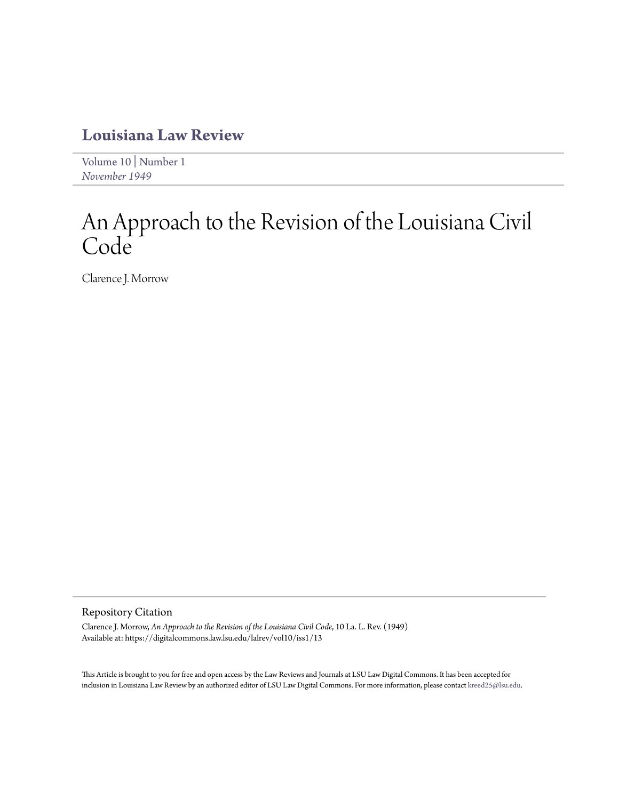### **[Louisiana Law Review](https://digitalcommons.law.lsu.edu/lalrev)**

[Volume 10](https://digitalcommons.law.lsu.edu/lalrev/vol10) | [Number 1](https://digitalcommons.law.lsu.edu/lalrev/vol10/iss1) *[November 1949](https://digitalcommons.law.lsu.edu/lalrev/vol10/iss1)*

# An Approach to the Revision of the Louisiana Civil Code

Clarence J. Morrow

#### Repository Citation

Clarence J. Morrow, *An Approach to the Revision of the Louisiana Civil Code*, 10 La. L. Rev. (1949) Available at: https://digitalcommons.law.lsu.edu/lalrev/vol10/iss1/13

This Article is brought to you for free and open access by the Law Reviews and Journals at LSU Law Digital Commons. It has been accepted for inclusion in Louisiana Law Review by an authorized editor of LSU Law Digital Commons. For more information, please contact [kreed25@lsu.edu](mailto:kreed25@lsu.edu).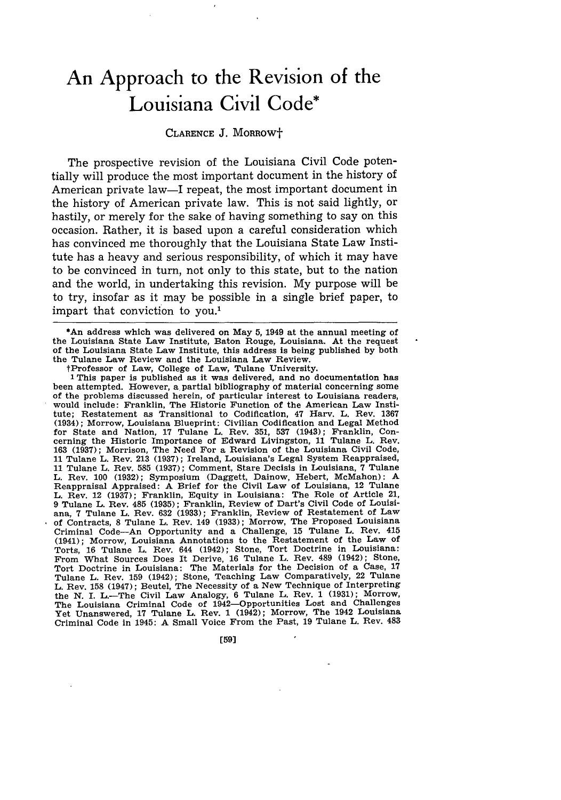## **An Approach to the Revision of the Louisiana Civil Code\***

### CLARENCE J. MORROWt

The prospective revision of the Louisiana Civil Code potentially will produce the most important document in the history of American private law-I repeat, the most important document in the history of American private law. This is not said lightly, or hastily, or merely for the sake of having something to say on this occasion. Rather, it is based upon a careful consideration which has convinced me thoroughly that the Louisiana State Law Institute has a heavy and serious responsibility, of which it may have to be convinced in turn, not only to this state, but to the nation and the world, in undertaking this revision. My purpose will be to try, insofar as it may be possible in a single brief paper, to impart that conviction to you.'

\*An address which was delivered on May **5,** 1949 at the annual meeting of the Louisiana State Law Institute, Baton Rouge, Louisiana. At the request of the Louisiana State Law Institute, this address is being published **by** both the Tulane Law Review and the Louisiana Law Review.

tProfessor of Law, College of Law, Tulane University. **1** This paper is published as it was delivered, and no documentation has been attempted. However, a partial bibliography of material concerning some of the problems discussed herein, of particular interest to Louisiana readers, would include: Franklin, The Historic Function of the American Law Institute; Restatement as Transitional to Codification, 47 Harv. L. Rev. **1367** (1934); Morrow, Louisiana Blueprint: Civilian Codification and Legal Method for State and Nation, **17** Tulane L. Rev. **351, 537** (1943); Franklin, Concerning the Historic Importance of Edward Livingston, **11** Tulane L. Rev. **163 (1937);** Morrison, The Need For a Revision of the Louisiana Civil Code, **11** Tulane L. Rev. **213 (1937);** Ireland, Louisiana's Legal System Reappraised, **11** Tulane L. Rev. **585 (1937);** Comment, Stare Decisis in Louisiana, **7** Tulane L. Rev. **100 (1932);** Symposium (Daggett, Dainow, Hebert, McMahon): A Reappraisal Appraised: A Brief for the Civil Law of Louisiana, 12 Tulane<br>L. Rev. 12 (1937); Franklin, Equity in Louisiana: The Role of Article 21,<br>9 Tulane L. Rev. 485 (1935); Franklin, Review of Dart's Civil Code of Louis ana, **7** Tulane L. Rev. **632 (1933);** Franklin, Review of Restatement of Law of Contracts, **8** Tulane L. Rev. 149 **(1933);** Morrow, The Proposed Louisiana Criminal Code-An Opportunity and a Challenge, **15** Tulane L. Rev. 415 (1941); Morrow, Louisiana Annotations to the Restatement of the Law of Torts, **16** Tulane L. Rev. 644 (1942); Stone, Tort Doctrine in Louisiana: From What Sources Does It Derive, **16** Tulane L. Rev. 489 (1942); Stone, Tort Doctrine in Louisiana: The Materials for the Decision of a Case, **<sup>17</sup>** Tulane L. Rev. **159** (1942); Stone, Teaching Law Comparatively, 22 Tulane L. Rev. **158** (1947); Beutel, The Necessity of a New Technique of Interpreting the N. I. L.—The Civil Law Analogy, 6 Tulane L. Rev. 1 (1931); Morrow, The Louisiana Criminal Code of 1942—Opportunities Lost and Challenges Yet Unanswered, 17 Tulane L. Rev. 1 (1942); Morrow, The 1942 Louisiana Criminal Code in 1945: A Small Voice From the Past, **19** Tulane L. Rev. 483

[59]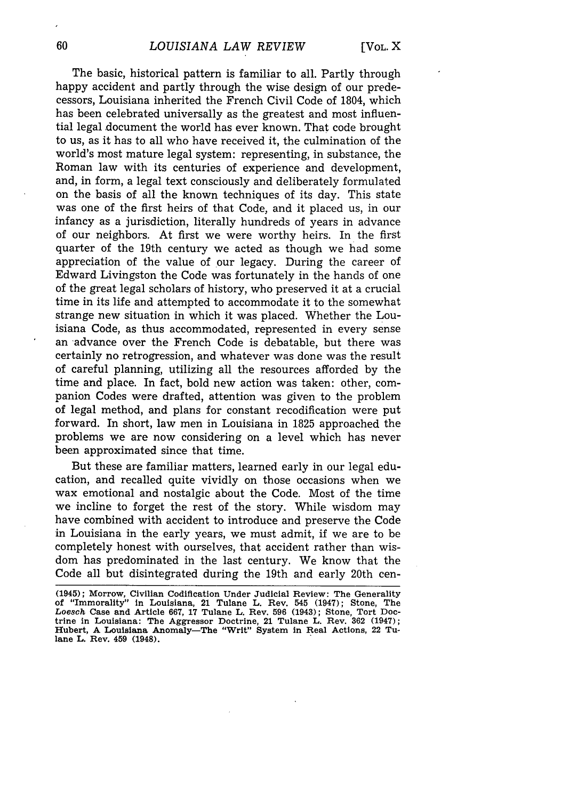The basic, historical pattern is familiar to all. Partly through happy accident and partly through the wise design of our predecessors, Louisiana inherited the French Civil Code of 1804, which has been celebrated universally as the greatest and most influential legal document the world has ever known. That code brought to us, as it has to all who have received it, the culmination of the world's most mature legal system: representing, in substance, the Roman law with its centuries of experience and development, and, in form, a legal text consciously and deliberately formulated on the basis of all the known techniques of its day. This state was one of the first heirs of that Code, and it placed us, in our infancy as a jurisdiction, literally hundreds of years in advance of our neighbors. At first we were worthy heirs. In the first quarter of the 19th century we acted as though we had some appreciation of the value of our legacy. During the career of Edward Livingston the Code was fortunately in the hands of one of the great legal scholars of history, who preserved it at a crucial time in its life and attempted to accommodate it to the somewhat strange new situation in which it was placed. Whether the Louisiana Code, as thus accommodated, represented in every sense an advance over the French Code is debatable, but there was certainly no retrogression, and whatever was done was the result of careful planning, utilizing all the resources afforded by the time and place. In fact, bold new action was taken: other, companion Codes were drafted, attention was given to the problem of legal method, and plans for constant recodification were put forward. In short, law men in Louisiana in 1825 approached the problems we are now considering on a level which has never been approximated since that time.

But these are familiar matters, learned early in our legal education, and recalled quite vividly on those occasions when we wax emotional and nostalgic about the Code. Most of the time we incline to forget the rest of the story. While wisdom may have combined with accident to introduce and preserve the Code in Louisiana in the early years, we must admit, if we are to be completely honest with ourselves, that accident rather than wisdom has predominated in the last century. We know that the Code all but disintegrated during the 19th and early 20th cen-

**<sup>(1945);</sup>** Morrow, **Civilian** Codification **Under Judicial Review: The** Generality **of "Immorality" in Louisiana, 21 Tulane L. Rev. 545 (1947); Stone, The Loesch Case and Article 667, 17 Tulane L. Rev. 596 (1943); Stone, Tort Doctrine in Louisiana: The Aggressor Doctrine, 21 Tulane L. Rev. 362 (1947);** Hubert, A Louisiana Anomaly-The "Writ" System in Real Actions, 22 Tu**lane L. Rev. 459 (1948).**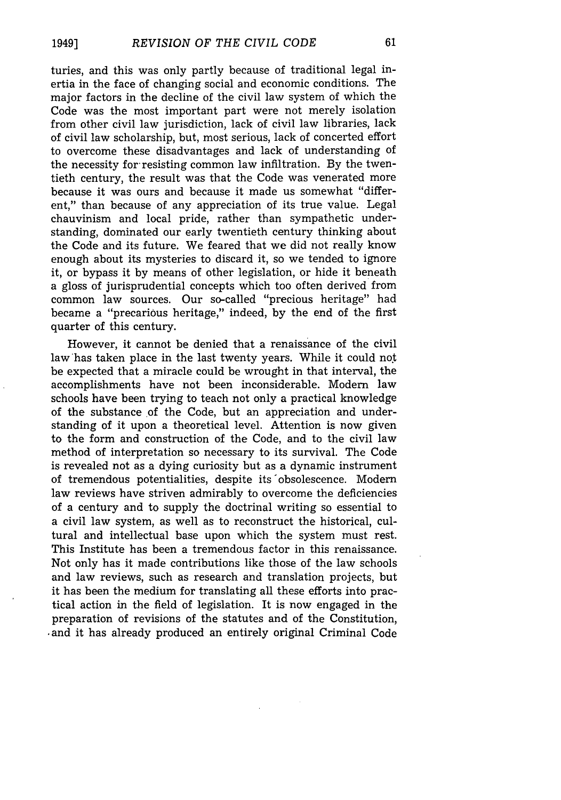turies, and this was only partly because of traditional legal inertia in the face of changing social and economic conditions. The major factors in the decline of the civil law system of which the Code was the most important part were not merely isolation from other civil law jurisdiction, lack of civil law libraries, lack of civil law scholarship, but, most serious, lack of concerted effort to overcome these disadvantages and lack of understanding of the necessity for resisting common law infiltration. By the twentieth century, the result was that the Code was venerated more because it was ours and because it made us somewhat "different," than because of any appreciation of its true value. Legal chauvinism and local pride, rather than sympathetic understanding, dominated our early twentieth century thinking about the Code and its future. We feared that we did not really know enough about its mysteries to discard it, so we tended to ignore it, or bypass it by means of other legislation, or hide it beneath a gloss of jurisprudential concepts which too often derived from common law sources. Our so-called "precious heritage" had became a "precarious heritage," indeed, by the end of the first quarter of this century.

However, it cannot be denied that a renaissance of the civil law has taken place in the last twenty years. While it could not be expected that a miracle could be wrought in that interval, the accomplishments have not been inconsiderable. Modem law schools have been trying to teach not only a practical knowledge of the substance of the Code, but an appreciation and understanding of it upon a theoretical level. Attention is now given to the form and construction of the Code, and to the civil law method of interpretation so necessary to its survival. The Code is revealed not as a dying curiosity but as a dynamic instrument of tremendous potentialities, despite its 'obsolescence. Modem law reviews have striven admirably to overcome the deficiencies of a century and to supply the doctrinal writing so essential to a civil law system, as well as to reconstruct the historical, cultural and intellectual base upon which the system must rest. This Institute has been a tremendous factor in this renaissance. Not only has it made contributions like those of the law schools and law reviews, such as research and translation projects, but it has been the medium for translating all these efforts into practical action in the field of legislation. It is now engaged in the preparation of revisions of the statutes and of the Constitution, -and it has already produced an entirely original Criminal Code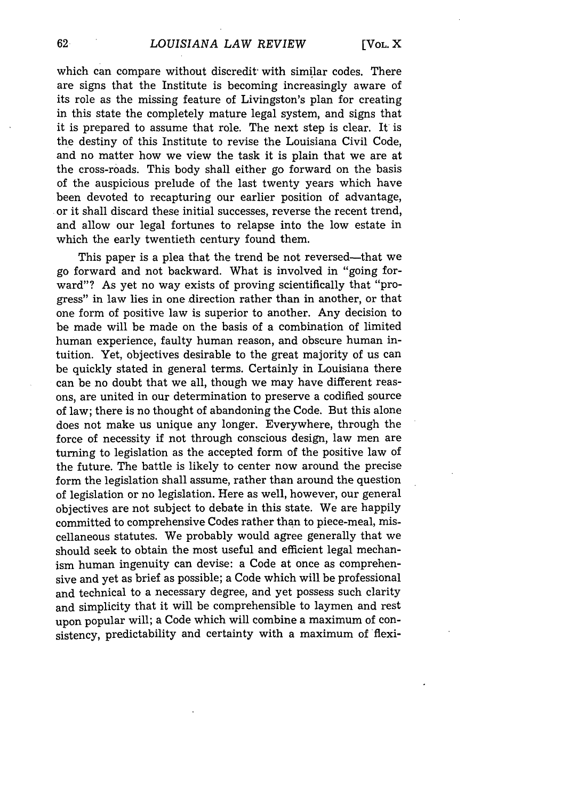which can compare without discredit with similar codes. There are signs that the Institute is becoming increasingly aware of its role as the missing feature of Livingston's plan for creating in this state the completely mature legal system, and signs that it is prepared to assume that role. The next step is clear. It is the destiny of this Institute to revise the Louisiana Civil Code, and no matter how we view the task it is plain that we are at the cross-roads. This body shall either go forward on the basis of the auspicious prelude of the last twenty years which have been devoted to recapturing our earlier position of advantage, or it shall discard these initial successes, reverse the recent trend, and allow our legal fortunes to relapse into the low estate in which the early twentieth century found them.

This paper is a plea that the trend be not reversed—that we go forward and not backward. What is involved in "going forward"? As yet no way exists of proving scientifically that "progress" in law lies in one direction rather than in another, or that one form of positive law is superior to another. Any decision to be made will be made on the basis of a combination of limited human experience, faulty human reason, and obscure human intuition. Yet, objectives desirable to the great majority of us can be quickly stated in general terms. Certainly in Louisiana there can be no doubt that we all, though we may have different reasons, are united in our determination to preserve a codified source of law; there is no thought of abandoning the Code. But this alone does not make us unique any longer. Everywhere, through the force of necessity if not through conscious design, law men are turning to legislation as the accepted form of the positive law of the future. The battle is likely to center now around the precise form the legislation shall assume, rather than around the question of legislation or no legislation. Here as well, however, our general objectives are not subject to debate in this state. We are happily committed to comprehensive Codes rather than to piece-meal, miscellaneous statutes. We probably would agree generally that we should seek to obtain the most useful and efficient legal mechanism human ingenuity can devise: a Code at once as comprehensive and yet as brief as possible; a Code which will be professional and technical to a necessary degree, and yet possess such clarity and simplicity that it will be comprehensible to laymen and rest upon popular will; a Code which will combine a maximum of consistency, predictability and certainty with a maximum of flexi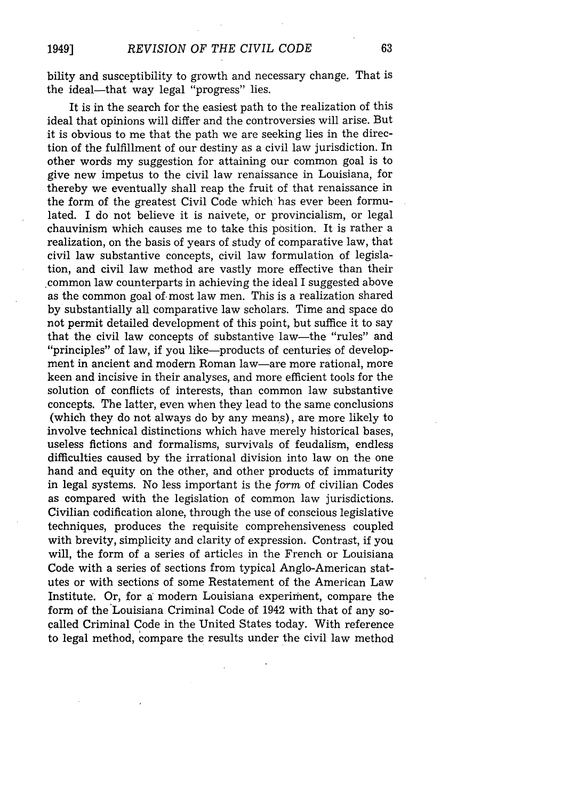bility and susceptibility to growth and necessary change. That is the ideal—that way legal "progress" lies.

It is in the search for the easiest path to the realization of this ideal that opinions will differ and the controversies will arise. But it is obvious to me that the path we are seeking lies in the direction of the fulfillment of our destiny as a civil law jurisdiction. In other words my suggestion for attaining our common goal is to give new impetus to the civil law renaissance in Louisiana, for thereby we eventually shall reap the fruit of that renaissance in the form of the greatest Civil Code which has ever been formulated. I do not believe it is naivete, or provincialism, or legal chauvinism which causes me to take this position. It is rather a realization, on the basis of years of study of comparative law, that civil law substantive concepts, civil law formulation of legislation, and civil law method are vastly more effective than their common law counterparts in achieving the ideal I suggested above as the common goal of. most law men. This is a realization shared by substantially all comparative law scholars. Time and space do not permit detailed development of this point, but suffice it to say that the civil law concepts of substantive law-the "rules" and "principles" of law, if you like-products of centuries of development in ancient and modern Roman law-are more rational, more keen and incisive in their analyses, and more efficient tools for the solution of conflicts of interests, than common law substantive concepts. The latter, even when they lead to the same conclusions (which they do not always do by any means), are more likely to involve technical distinctions which have merely historical bases, useless fictions and formalisms, survivals of feudalism, endless difficulties caused by the irrational division into law on the one hand and equity on the other, and other products of immaturity in legal systems. No less important is the *form* of civilian Codes as compared with the legislation of common law jurisdictions. Civilian codification alone, through the use of conscious legislative techniques, produces the requisite comprehensiveness coupled with brevity, simplicity and clarity of expression. Contrast, if you will, the form of a series of articles in the French or Louisiana Code with a series of sections from typical Anglo-American statutes or with sections of some Restatement of the American Law Institute. Or, for a modem Louisiana experiment, compare the form of the Louisiana Criminal Code of 1942 with that of any socalled Criminal Code in the United States today. With reference to legal method, compare the results under the civil law method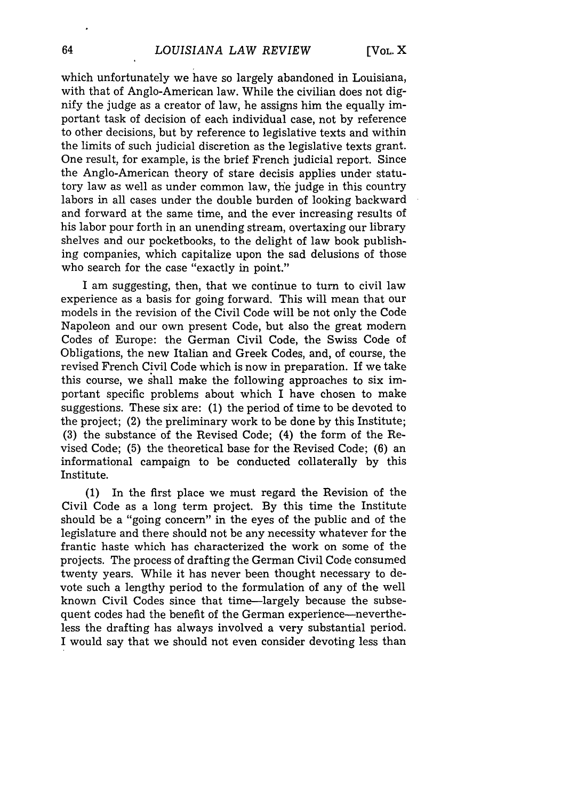which unfortunately we have so largely abandoned in Louisiana, with that of Anglo-American law. While the civilian does not dignify the judge as a creator of law, he assigns him the equally important task of decision of each individual case, not by reference to other decisions, but by reference to legislative texts and within the limits of such judicial discretion as the legislative texts grant. One result, for example, is the brief French judicial report. Since the Anglo-American theory of stare decisis applies under statutory law as well as under common law, the judge in this country labors in all cases under the double burden of looking backward and forward at the same time, and the ever increasing results of his labor pour forth in an unending stream, overtaxing our library shelves and our pocketbooks, to the delight of law book publishing companies, which capitalize upon the sad delusions of those who search for the case "exactly in point."

I am suggesting, then, that we continue to turn to civil law experience as a basis for going forward. This will mean that our models in the revision of the Civil Code will be not only the Code Napoleon and our own present Code, but also the great modern Codes of Europe: the German Civil Code, the Swiss Code of Obligations, the new Italian and Greek Codes, and, of course, the revised French Civil Code which is now in preparation. If we take this course, we shall make the following approaches to six important specific problems about which I have chosen to make suggestions. These six are: (1) the period of time to be devoted to the project; (2) the preliminary work to be done by this Institute; (3) the substance of the Revised Code; (4) the form of the Revised Code; (5) the theoretical base for the Revised Code; (6) an informational campaign to be conducted collaterally by this Institute.

(1) In the first place we must regard the Revision of the Civil Code as a long term project. By this time the Institute should be a "going concern" in the eyes of the public and of the legislature and there should not be any necessity whatever for the frantic haste which has characterized the work on some of the projects. The process of drafting the German Civil Code consumed twenty years. While it has never been thought necessary to devote such a lengthy period to the formulation of any of the well known Civil Codes since that time-largely because the subsequent codes had the benefit of the German experience--nevertheless the drafting has always involved a very substantial period. I would say that we should not even consider devoting less than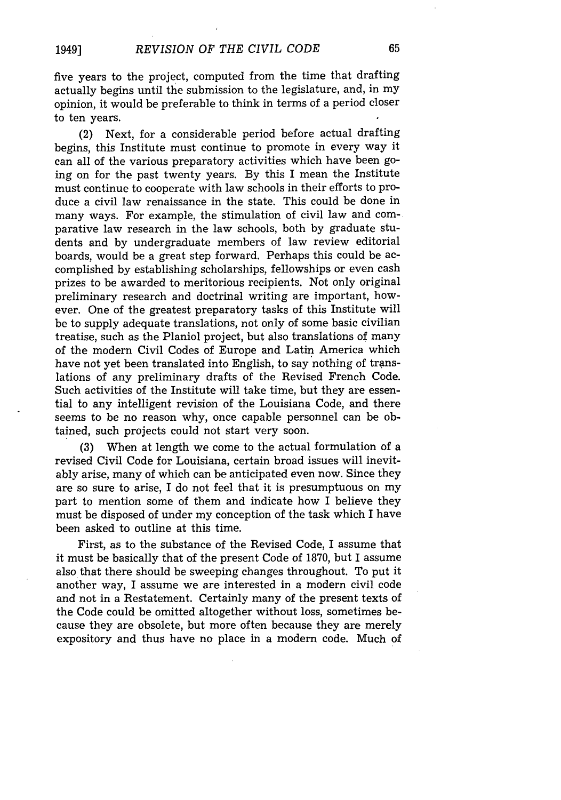five years to the project, computed from the time that drafting actually begins until the submission to the legislature, and, in my opinion, it would be preferable to think in terms of a period closer to ten years.

(2) Next, for a considerable period before actual drafting begins, this Institute must continue to promote in every way it can all of the various preparatory activities which have been going on for the past twenty years. By this I mean the Institute must continue to cooperate with law schools in their efforts to produce a civil law renaissance in the state. This could be done in many ways. For example, the stimulation of civil law and comparative law research in the law schools, both by graduate students and by undergraduate members of law review editorial boards, would be a great step forward. Perhaps this could be accomplished by establishing scholarships, fellowships or even cash prizes to be awarded to meritorious recipients. Not only original preliminary research and doctrinal writing are important, however. One of the greatest preparatory tasks of this Institute will be to supply adequate translations, not only of some basic civilian treatise, such as the Planiol project, but also translations of many of the modern Civil Codes of Europe and Latin America which have not yet been translated into English, to say nothing of translations of any preliminary drafts of the Revised French Code. Such activities of the Institute will take time, but they are essential to any intelligent revision of the Louisiana Code, and there seems to be no reason why, once capable personnel can be obtained, such projects could not start very soon.

(3) When at length we come to the actual formulation of a revised Civil Code for Louisiana, certain broad issues will inevitably arise, many of which can be anticipated even now. Since they are so sure to arise, I do not feel that it is presumptuous on my part to mention some of them and indicate how I believe they must be disposed of under my conception of the task which I have been asked to outline at this time.

First, as to the substance of the Revised Code, I assume that it must be basically that of the present Code of 1870, but I assume also that there should be sweeping changes throughout. To put it another way, I assume we are interested in a modern civil code and not in a Restatement. Certainly many of the present texts of the Code could be omitted altogether without loss, sometimes because they are obsolete, but more often because they are merely expository and thus have no place in a modem code. Much of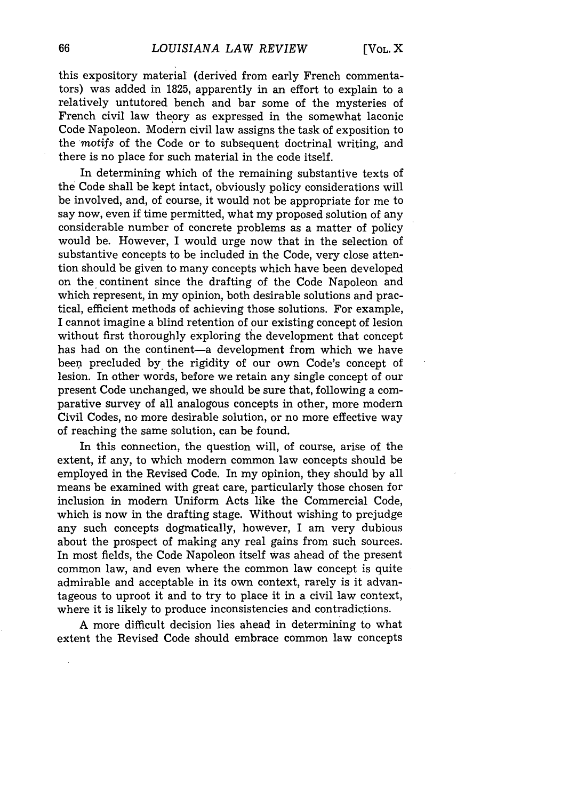this expository material (derived from early French commentators) was added in 1825, apparently in an effort to explain to a relatively untutored bench and bar some of the mysteries of French civil law theory as expressed in the somewhat laconic Code Napoleon. Modern civil law assigns the task of exposition to the *motifs* of the Code or to subsequent doctrinal writing, and there is no place for such material in the code itself.

In determining which of the remaining substantive texts of the Code shall be kept intact, obviously policy considerations will be involved, and, of course, it would not be appropriate for me to say now, even if time permitted, what my proposed solution of any considerable number of concrete problems as a matter of policy would be. However, I would urge now that in the selection of substantive concepts to be included in the Code, very close attention should be given to many concepts which have been developed on the continent since the drafting of the Code Napoleon and which represent, in my opinion, both desirable solutions and practical, efficient methods of achieving those solutions. For example, I cannot imagine a blind retention of our existing concept of lesion without first thoroughly exploring the development that concept has had on the continent-a development from which we have been precluded by the rigidity of our own Code's concept of lesion. In other words, before we retain any single concept of our present Code unchanged, we should be sure that, following a comparative survey of all analogous concepts in other, more modern Civil Codes, no more desirable solution, or no more effective way of reaching the same solution, can be found.

In this connection, the question will, of course, arise of the extent, if any, to which modern common law concepts should be employed in the Revised Code. In my opinion, they should by all means be examined with great care, particularly those chosen for inclusion in modern Uniform Acts like the Commercial Code, which is now in the drafting stage. Without wishing to prejudge any such concepts dogmatically, however, I am very dubious about the prospect of making any real gains from such sources. In most fields, the Code Napoleon itself was ahead of the present common law, and even where the common law concept is quite admirable and acceptable in its own context, rarely is it advantageous to uproot it and to try to place it in a civil law context, where it is likely to produce inconsistencies and contradictions.

A more difficult decision lies ahead in determining to what extent the Revised Code should embrace common law concepts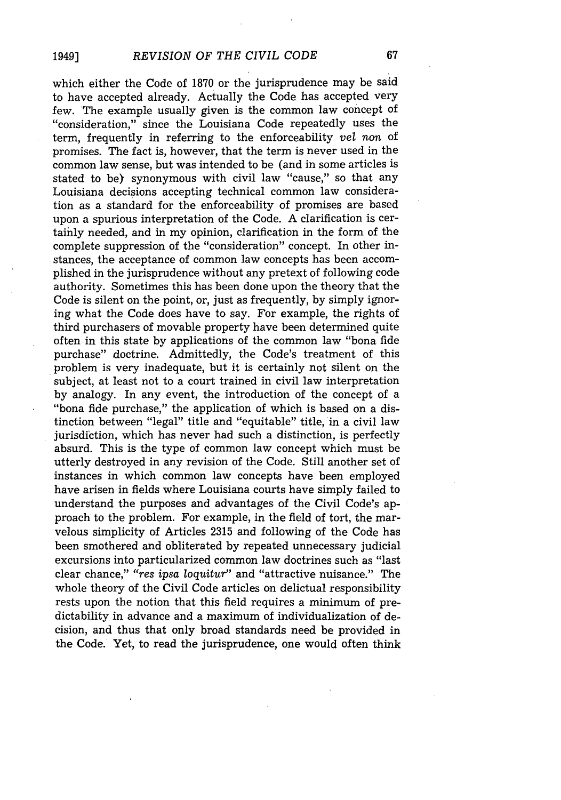which either the Code of 1870 or the jurisprudence may be said to have accepted already. Actually the Code has accepted very few. The example usually given is the common law concept of "consideration," since the Louisiana Code repeatedly uses the term, frequently in referring to the enforceability vel non of promises. The fact is, however, that the term is never used in the common law sense, but was intended to be (and in some articles is stated to be) synonymous with civil law "cause," so that any Louisiana decisions accepting technical common law consideration as a standard for the enforceability of promises are based upon a spurious interpretation of the Code. A clarification is certainly needed, and in my opinion, clarification in the form of the complete suppression of the "consideration" concept. In other instances, the acceptance of common law concepts has been accomplished in the jurisprudence without any pretext of following code authority. Sometimes this has been done upon the theory that the Code is silent on the point, or, just as frequently, by simply ignoring what the Code does have to say. For example, the rights of third purchasers of movable property have been determined quite often in this state by applications of the common law "bona fide purchase" doctrine. Admittedly, the Code's treatment of this problem is very inadequate, but it is certainly not silent on the subject, at least not to a court trained in civil law interpretation by analogy. In any event, the introduction of the concept of a "bona fide purchase," the application of which is based on a distinction between "legal" title and "equitable" title, in a civil law jurisdiction, which has never had such a distinction, is perfectly absurd. This is the type of common law concept which must be utterly destroyed in any revision of the Code. Still another set of instances in which common law concepts have been employed have arisen in fields where Louisiana courts have simply failed to understand the purposes and advantages of the Civil Code's approach to the problem. For example, in the field of tort, the marvelous simplicity of Articles 2315 and following of the Code has been smothered and obliterated by repeated unnecessary judicial excursions into particularized common law doctrines such as "last clear chance," *"res ipsa loquitur"* and "attractive nuisance." The whole theory of the Civil Code articles on delictual responsibility rests upon the notion that this field requires a minimum of predictability in advance and a maximum of individualization of decision, and thus that only broad standards need be provided in the Code. Yet, to read the jurisprudence, one would often think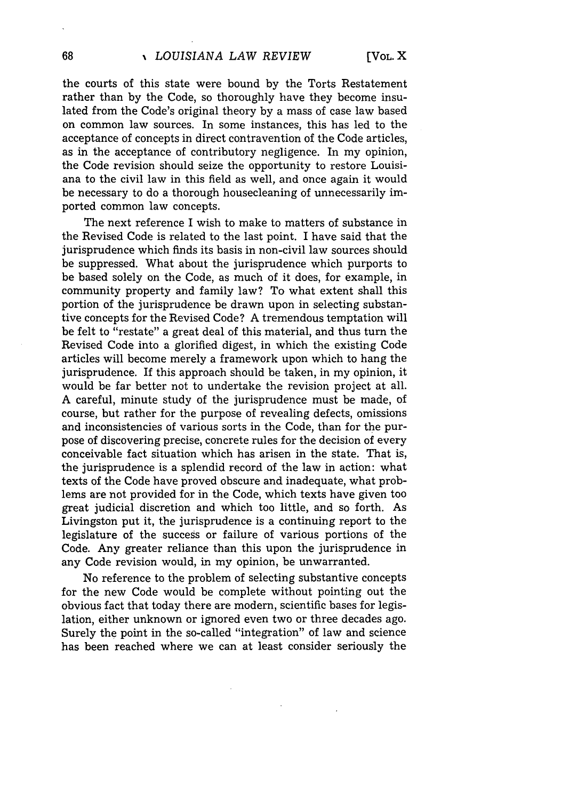the courts of this state were bound by the Torts Restatement rather than by the Code, so thoroughly have they become insulated from the Code's original theory by a mass of case law based on common law sources. In some instances, this has led to the acceptance of concepts in direct contravention of the Code articles, as in the acceptance of contributory negligence. In my opinion, the Code revision should seize the opportunity to restore Louisiana to the civil law in this field as well, and once again it would be necessary to do a thorough housecleaning of unnecessarily imported common law concepts.

The next reference I wish to make to matters of substance in the Revised Code is related to the last point. I have said that the jurisprudence which finds its basis in non-civil law sources should be suppressed. What about the jurisprudence which purports to be based solely on the Code, as much of it does, for example, in community property and family law? To what extent shall this portion of the jurisprudence be drawn upon in selecting substantive concepts for the Revised Code? A tremendous temptation will be felt to "restate" a great deal of this material, and thus turn the Revised Code into a glorified digest, in which the existing Code articles will become merely a framework upon which to hang the jurisprudence. If this approach should be taken, in my opinion, it would be far better not to undertake the revision project at all. A careful, minute study of the jurisprudence must be made, of course, but rather for the purpose of revealing defects, omissions and inconsistencies of various sorts in the Code, than for the purpose of discovering precise, concrete rules for the decision of every conceivable fact situation which has arisen in the state. That is, the jurisprudence is a splendid record of the law in action: what texts of the Code have proved obscure and inadequate, what problems are not provided for in the Code, which texts have given too great judicial discretion and which too little, and so forth. As Livingston put it, the jurisprudence is a continuing report to the legislature of the success or failure of various portions of the Code. Any greater reliance than this upon the jurisprudence in any Code revision would, in my opinion, be unwarranted.

No reference to the problem of selecting substantive concepts for the new Code would be complete without pointing out the obvious fact that today there are modern, scientific bases for legislation, either unknown or ignored even two or three decades ago. Surely the point in the so-called "integration" of law and science has been reached where we can at least consider seriously the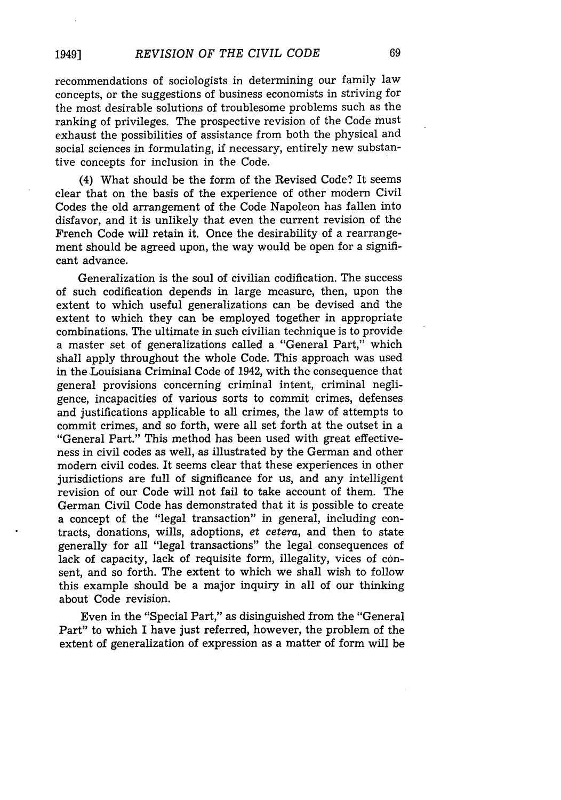recommendations of sociologists in determining our family law concepts, or the suggestions of business economists in striving for the most desirable solutions of troublesome problems such as the ranking of privileges. The prospective revision of the Code must exhaust the possibilities of assistance from both the physical and social sciences in formulating, if necessary, entirely new substantive concepts for inclusion in the Code.

(4) What should be the form of the Revised Code? It seems clear that on the basis of the experience of other modern Civil Codes the old arrangement of the Code Napoleon has fallen into disfavor, and it is unlikely that even the current revision of the French Code will retain it. Once the desirability of a rearrangement should be agreed upon, the way would be open for a significant advance.

Generalization is the soul of civilian codification. The success of such codification depends in large measure, then, upon the extent to which useful generalizations can be devised and the extent to which they can be employed together in appropriate combinations. The ultimate in such civilian technique is to provide a master set of generalizations called a "General Part," which shall apply throughout the whole Code. This approach was used in the Louisiana Criminal Code of 1942, with the consequence that general provisions concerning criminal intent, criminal negligence, incapacities of various sorts to commit crimes, defenses and justifications applicable to all crimes, the law of attempts to commit crimes, and so forth, were all set forth at the outset in a "General Part." This method has been used with great effectiveness in civil codes as well, as illustrated by the German and other modern civil codes. It seems clear that these experiences in other jurisdictions are full of significance for us, and any intelligent revision of our Code will not fail to take account of them. The German Civil Code has demonstrated that it is possible to create a concept of the "legal transaction" in general, including contracts, donations, wills, adoptions, et cetera, and then to state generally for all "legal transactions" the legal consequences of lack of capacity, lack of requisite form, illegality, vices of consent, and so forth. The extent to which we shall wish to follow this example should be a major inquiry in all of our thinking about Code revision.

Even in the "Special Part," as disinguished from the "General Part" to which I have just referred, however, the problem of the extent of generalization of expression as a matter of form will be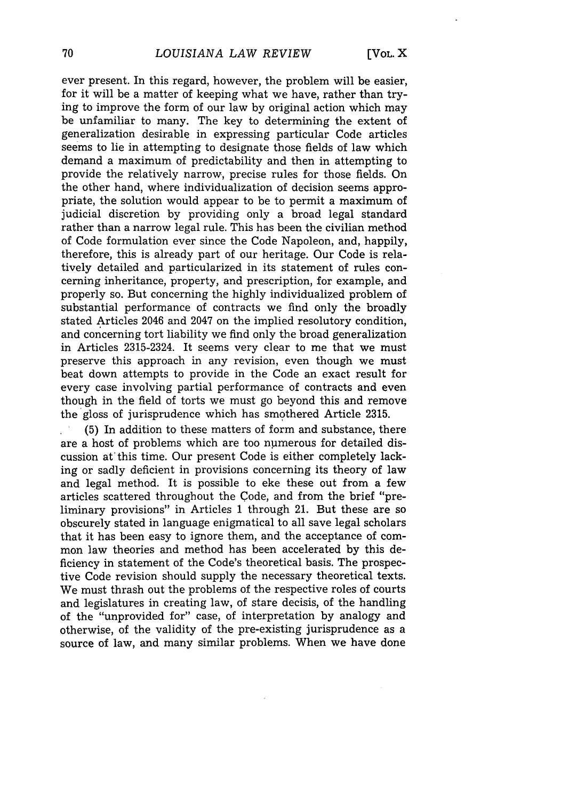ever present. In this regard, however, the problem will be easier, for it will be a matter of keeping what we have, rather than trying to improve the form of our law by original action which may be unfamiliar to many. The key to determining the extent of generalization desirable in expressing particular Code articles seems to lie in attempting to designate those fields of law which demand a maximum of predictability and then in attempting to provide the relatively narrow, precise rules for those fields. On the other hand, where individualization of decision seems appropriate, the solution would appear to be to permit a maximum of judicial discretion by providing only a broad legal standard rather than a narrow legal rule. This has been the civilian method of Code formulation ever since the Code Napoleon, and, happily, therefore, this is already part of our heritage. Our Code is relatively detailed and particularized in its statement of rules concerning inheritance, property, and prescription, for example, and properly so. But concerning the highly individualized problem of substantial performance of contracts we find only the broadly stated Articles 2046 and 2047 on the implied resolutory condition, and concerning tort liability we find only the broad generalization in Articles 2315-2324. It seems very clear to me that we must preserve this approach in any revision, even though we must beat down attempts to provide in the Code an exact result for every case involving partial performance of contracts and even though in the field of torts we must go beyond this and remove the gloss of jurisprudence which has smothered Article 2315.

(5) In addition to these matters of form and substance, there are a host of problems which are too numerous for detailed discussion at this time. Our present Code is either completely lacking or sadly deficient in provisions concerning its theory of law and legal method. It is possible to eke these out from a few articles scattered throughout the Code, and from the brief "preliminary provisions" in Articles 1 through 21. But these are so obscurely stated in language enigmatical to all save legal scholars that it has been easy to ignore them, and the acceptance of common law theories and method has been accelerated by this deficiency in statement of the Code's theoretical basis. The prospective Code revision should supply the necessary theoretical texts. We must thrash out the problems of the respective roles of courts and legislatures in creating law, of stare decisis, of the handling of the "unprovided for" case, of interpretation by analogy and otherwise, of the validity of the pre-existing jurisprudence as a source of law, and many similar problems. When we have done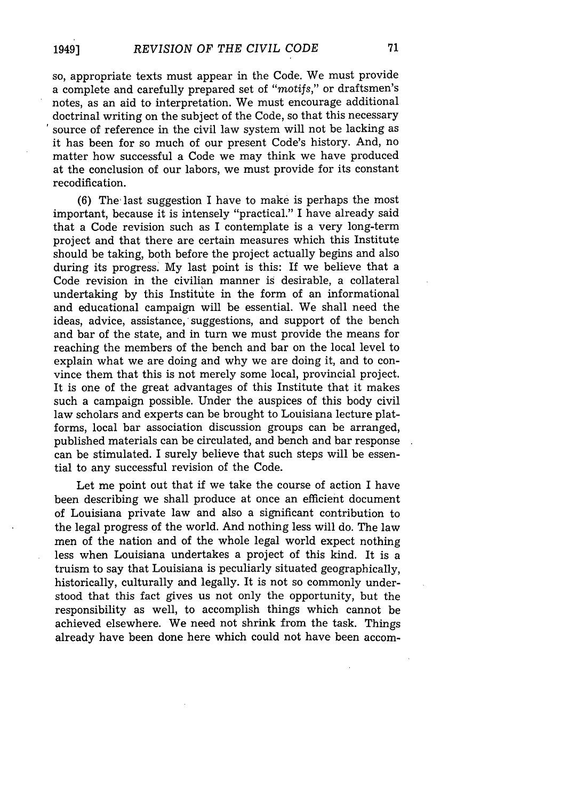### so, appropriate texts must appear in the Code. We must provide a complete and carefully prepared set of *"motifs,"* or draftsmen's notes, as an aid to interpretation. We must encourage additional doctrinal writing on the subject of the Code, so that this necessary source of reference in the civil law system will not be lacking as it has been for so much of our present Code's history. And, no matter how successful a Code we may think we have produced at the conclusion of our labors, we must provide for its constant recodification.

(6) The'last suggestion I have to make is perhaps the most important, because it is intensely "practical." I have already said that a Code revision such as I contemplate is a very long-term project and that there are certain measures which this Institute should be taking, both before the project actually begins and also during its progress. My last point is this: If we believe that a Code revision in the civilian manner is desirable, a collateral undertaking by this Institute in the form of an informational and educational campaign will be essential. We shall need the ideas, advice, assistance, suggestions, and support of the bench and bar of the state, and in turn we must provide the means for reaching the members of the bench and bar on the local level to explain what we are doing and why we are doing it, and to convince them that this is not merely some local, provincial project. It is one of the great advantages of this Institute that it makes such a campaign possible. Under the auspices of this body civil law scholars and experts can be brought to Louisiana lecture platforms, local bar association discussion groups can be arranged, published materials can be circulated, and bench and bar response can be stimulated. I surely believe that such steps will be essential to any successful revision of the Code.

Let me point out that if we take the course of action I have been describing we shall produce at once an efficient document of Louisiana private law and also a significant contribution to the legal progress of the world. And nothing less will do. The law men of the nation and of the whole legal world expect nothing less when Louisiana undertakes a project of this kind. It is a truism to say that Louisiana is peculiarly situated geographically, historically, culturally and legally. It is not so commonly understood that this fact gives us not only the opportunity, but the responsibility as well, to accomplish things which cannot be achieved elsewhere. We need not shrink from the task. Things already have been done here which could not have been accom